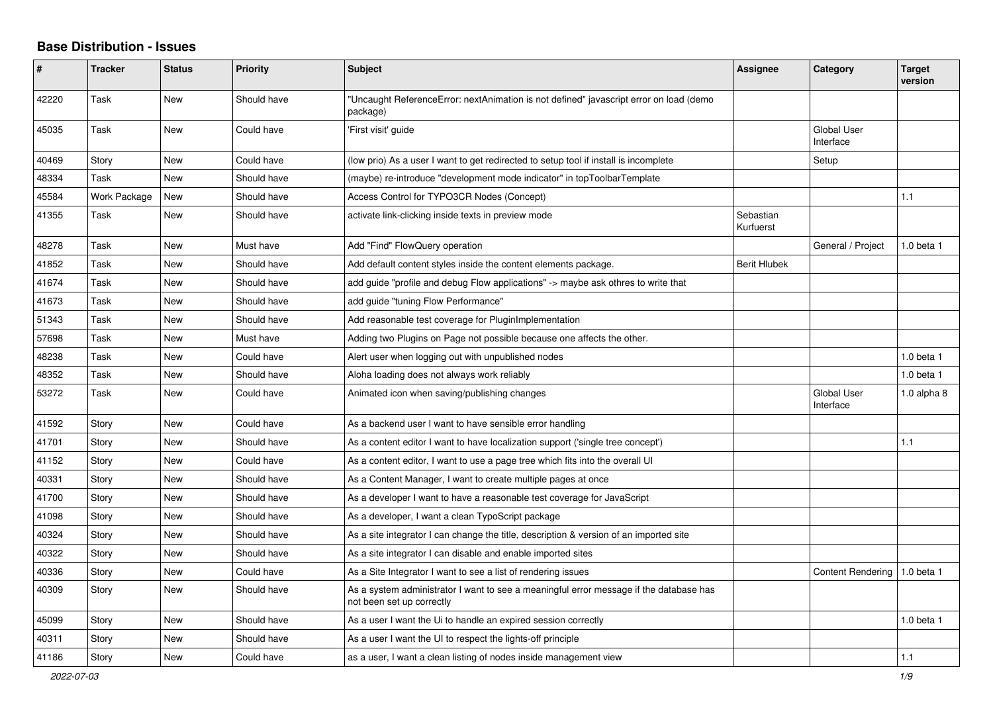## **Base Distribution - Issues**

| #     | <b>Tracker</b>      | <b>Status</b> | <b>Priority</b> | <b>Subject</b>                                                                                                      | <b>Assignee</b>        | Category                       | <b>Target</b><br>version |
|-------|---------------------|---------------|-----------------|---------------------------------------------------------------------------------------------------------------------|------------------------|--------------------------------|--------------------------|
| 42220 | Task                | <b>New</b>    | Should have     | "Uncaught ReferenceError: nextAnimation is not defined" javascript error on load (demo<br>package)                  |                        |                                |                          |
| 45035 | Task                | <b>New</b>    | Could have      | 'First visit' guide                                                                                                 |                        | Global User<br>Interface       |                          |
| 40469 | Story               | <b>New</b>    | Could have      | (low prio) As a user I want to get redirected to setup tool if install is incomplete                                |                        | Setup                          |                          |
| 48334 | Task                | New           | Should have     | (maybe) re-introduce "development mode indicator" in topToolbarTemplate                                             |                        |                                |                          |
| 45584 | <b>Work Package</b> | New           | Should have     | Access Control for TYPO3CR Nodes (Concept)                                                                          |                        |                                | 1.1                      |
| 41355 | Task                | New           | Should have     | activate link-clicking inside texts in preview mode                                                                 | Sebastian<br>Kurfuerst |                                |                          |
| 48278 | Task                | New           | Must have       | Add "Find" FlowQuery operation                                                                                      |                        | General / Project              | 1.0 beta 1               |
| 41852 | Task                | <b>New</b>    | Should have     | Add default content styles inside the content elements package.                                                     | <b>Berit Hlubek</b>    |                                |                          |
| 41674 | Task                | New           | Should have     | add guide "profile and debug Flow applications" -> maybe ask othres to write that                                   |                        |                                |                          |
| 41673 | Task                | <b>New</b>    | Should have     | add guide "tuning Flow Performance"                                                                                 |                        |                                |                          |
| 51343 | Task                | New           | Should have     | Add reasonable test coverage for PluginImplementation                                                               |                        |                                |                          |
| 57698 | Task                | New           | Must have       | Adding two Plugins on Page not possible because one affects the other.                                              |                        |                                |                          |
| 48238 | Task                | <b>New</b>    | Could have      | Alert user when logging out with unpublished nodes                                                                  |                        |                                | 1.0 beta 1               |
| 48352 | Task                | New           | Should have     | Aloha loading does not always work reliably                                                                         |                        |                                | $1.0$ beta $1$           |
| 53272 | Task                | <b>New</b>    | Could have      | Animated icon when saving/publishing changes                                                                        |                        | Global User<br>Interface       | 1.0 alpha $8$            |
| 41592 | Story               | <b>New</b>    | Could have      | As a backend user I want to have sensible error handling                                                            |                        |                                |                          |
| 41701 | Story               | <b>New</b>    | Should have     | As a content editor I want to have localization support ('single tree concept')                                     |                        |                                | 1.1                      |
| 41152 | Story               | <b>New</b>    | Could have      | As a content editor, I want to use a page tree which fits into the overall UI                                       |                        |                                |                          |
| 40331 | Story               | <b>New</b>    | Should have     | As a Content Manager, I want to create multiple pages at once                                                       |                        |                                |                          |
| 41700 | Story               | New           | Should have     | As a developer I want to have a reasonable test coverage for JavaScript                                             |                        |                                |                          |
| 41098 | Story               | New           | Should have     | As a developer, I want a clean TypoScript package                                                                   |                        |                                |                          |
| 40324 | Story               | <b>New</b>    | Should have     | As a site integrator I can change the title, description & version of an imported site                              |                        |                                |                          |
| 40322 | Story               | <b>New</b>    | Should have     | As a site integrator I can disable and enable imported sites                                                        |                        |                                |                          |
| 40336 | Story               | New           | Could have      | As a Site Integrator I want to see a list of rendering issues                                                       |                        | Content Rendering   1.0 beta 1 |                          |
| 40309 | Story               | New           | Should have     | As a system administrator I want to see a meaningful error message if the database has<br>not been set up correctly |                        |                                |                          |
| 45099 | Story               | <b>New</b>    | Should have     | As a user I want the Ui to handle an expired session correctly                                                      |                        |                                | $1.0$ beta $1$           |
| 40311 | Story               | New           | Should have     | As a user I want the UI to respect the lights-off principle                                                         |                        |                                |                          |
| 41186 | Story               | New           | Could have      | as a user, I want a clean listing of nodes inside management view                                                   |                        |                                | 1.1                      |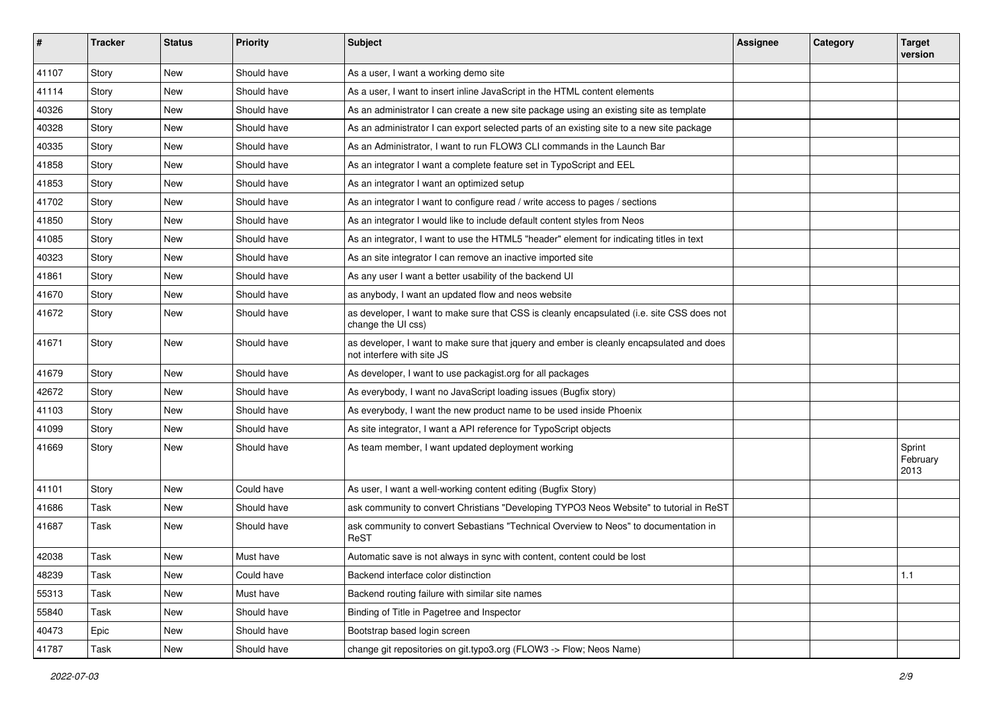| #     | <b>Tracker</b> | <b>Status</b> | <b>Priority</b> | Subject                                                                                                                | <b>Assignee</b> | Category | <b>Target</b><br>version   |
|-------|----------------|---------------|-----------------|------------------------------------------------------------------------------------------------------------------------|-----------------|----------|----------------------------|
| 41107 | Story          | <b>New</b>    | Should have     | As a user, I want a working demo site                                                                                  |                 |          |                            |
| 41114 | Story          | New           | Should have     | As a user, I want to insert inline JavaScript in the HTML content elements                                             |                 |          |                            |
| 40326 | Story          | New           | Should have     | As an administrator I can create a new site package using an existing site as template                                 |                 |          |                            |
| 40328 | Story          | <b>New</b>    | Should have     | As an administrator I can export selected parts of an existing site to a new site package                              |                 |          |                            |
| 40335 | Story          | New           | Should have     | As an Administrator, I want to run FLOW3 CLI commands in the Launch Bar                                                |                 |          |                            |
| 41858 | Story          | <b>New</b>    | Should have     | As an integrator I want a complete feature set in TypoScript and EEL                                                   |                 |          |                            |
| 41853 | Story          | New           | Should have     | As an integrator I want an optimized setup                                                                             |                 |          |                            |
| 41702 | Story          | <b>New</b>    | Should have     | As an integrator I want to configure read / write access to pages / sections                                           |                 |          |                            |
| 41850 | Story          | New           | Should have     | As an integrator I would like to include default content styles from Neos                                              |                 |          |                            |
| 41085 | Story          | New           | Should have     | As an integrator, I want to use the HTML5 "header" element for indicating titles in text                               |                 |          |                            |
| 40323 | Story          | <b>New</b>    | Should have     | As an site integrator I can remove an inactive imported site                                                           |                 |          |                            |
| 41861 | Story          | New           | Should have     | As any user I want a better usability of the backend UI                                                                |                 |          |                            |
| 41670 | Story          | <b>New</b>    | Should have     | as anybody, I want an updated flow and neos website                                                                    |                 |          |                            |
| 41672 | Story          | <b>New</b>    | Should have     | as developer, I want to make sure that CSS is cleanly encapsulated (i.e. site CSS does not<br>change the UI css)       |                 |          |                            |
| 41671 | Story          | <b>New</b>    | Should have     | as developer, I want to make sure that jquery and ember is cleanly encapsulated and does<br>not interfere with site JS |                 |          |                            |
| 41679 | Story          | New           | Should have     | As developer, I want to use packagist.org for all packages                                                             |                 |          |                            |
| 42672 | Story          | <b>New</b>    | Should have     | As everybody, I want no JavaScript loading issues (Bugfix story)                                                       |                 |          |                            |
| 41103 | Story          | New           | Should have     | As everybody, I want the new product name to be used inside Phoenix                                                    |                 |          |                            |
| 41099 | Story          | <b>New</b>    | Should have     | As site integrator, I want a API reference for TypoScript objects                                                      |                 |          |                            |
| 41669 | Story          | <b>New</b>    | Should have     | As team member, I want updated deployment working                                                                      |                 |          | Sprint<br>February<br>2013 |
| 41101 | Story          | <b>New</b>    | Could have      | As user, I want a well-working content editing (Bugfix Story)                                                          |                 |          |                            |
| 41686 | Task           | New           | Should have     | ask community to convert Christians "Developing TYPO3 Neos Website" to tutorial in ReST                                |                 |          |                            |
| 41687 | Task           | New           | Should have     | ask community to convert Sebastians "Technical Overview to Neos" to documentation in<br>ReST                           |                 |          |                            |
| 42038 | Task           | New           | Must have       | Automatic save is not always in sync with content, content could be lost                                               |                 |          |                            |
| 48239 | Task           | New           | Could have      | Backend interface color distinction                                                                                    |                 |          | 1.1                        |
| 55313 | Task           | New           | Must have       | Backend routing failure with similar site names                                                                        |                 |          |                            |
| 55840 | Task           | New           | Should have     | Binding of Title in Pagetree and Inspector                                                                             |                 |          |                            |
| 40473 | Epic           | New           | Should have     | Bootstrap based login screen                                                                                           |                 |          |                            |
| 41787 | Task           | New           | Should have     | change git repositories on git.typo3.org (FLOW3 -> Flow; Neos Name)                                                    |                 |          |                            |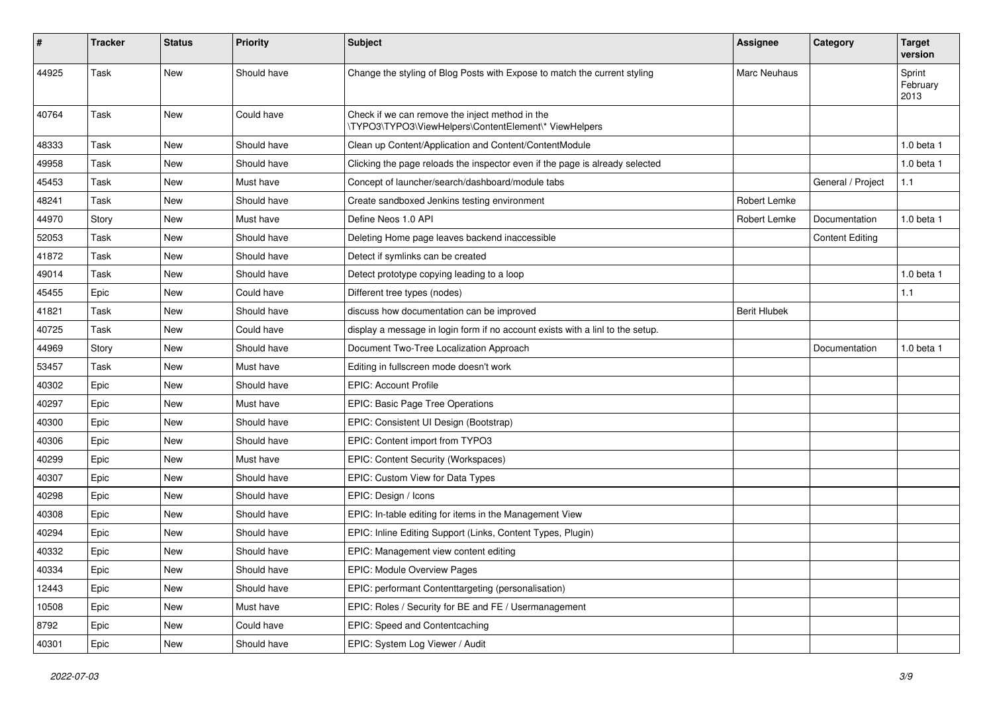| $\pmb{\#}$ | <b>Tracker</b> | <b>Status</b> | <b>Priority</b> | <b>Subject</b>                                                                                           | <b>Assignee</b>     | Category               | <b>Target</b><br>version   |
|------------|----------------|---------------|-----------------|----------------------------------------------------------------------------------------------------------|---------------------|------------------------|----------------------------|
| 44925      | Task           | <b>New</b>    | Should have     | Change the styling of Blog Posts with Expose to match the current styling                                | <b>Marc Neuhaus</b> |                        | Sprint<br>February<br>2013 |
| 40764      | Task           | <b>New</b>    | Could have      | Check if we can remove the inject method in the<br>\TYPO3\TYPO3\ViewHelpers\ContentElement\* ViewHelpers |                     |                        |                            |
| 48333      | Task           | <b>New</b>    | Should have     | Clean up Content/Application and Content/ContentModule                                                   |                     |                        | $1.0$ beta $1$             |
| 49958      | Task           | <b>New</b>    | Should have     | Clicking the page reloads the inspector even if the page is already selected                             |                     |                        | $1.0$ beta $1$             |
| 45453      | Task           | <b>New</b>    | Must have       | Concept of launcher/search/dashboard/module tabs                                                         |                     | General / Project      | 1.1                        |
| 48241      | Task           | <b>New</b>    | Should have     | Create sandboxed Jenkins testing environment                                                             | Robert Lemke        |                        |                            |
| 44970      | Story          | New           | Must have       | Define Neos 1.0 API                                                                                      | Robert Lemke        | Documentation          | $1.0$ beta $1$             |
| 52053      | Task           | New           | Should have     | Deleting Home page leaves backend inaccessible                                                           |                     | <b>Content Editing</b> |                            |
| 41872      | Task           | <b>New</b>    | Should have     | Detect if symlinks can be created                                                                        |                     |                        |                            |
| 49014      | Task           | <b>New</b>    | Should have     | Detect prototype copying leading to a loop                                                               |                     |                        | 1.0 beta 1                 |
| 45455      | Epic           | <b>New</b>    | Could have      | Different tree types (nodes)                                                                             |                     |                        | 1.1                        |
| 41821      | Task           | New           | Should have     | discuss how documentation can be improved                                                                | <b>Berit Hlubek</b> |                        |                            |
| 40725      | Task           | <b>New</b>    | Could have      | display a message in login form if no account exists with a linl to the setup.                           |                     |                        |                            |
| 44969      | Story          | <b>New</b>    | Should have     | Document Two-Tree Localization Approach                                                                  |                     | Documentation          | 1.0 beta 1                 |
| 53457      | Task           | New           | Must have       | Editing in fullscreen mode doesn't work                                                                  |                     |                        |                            |
| 40302      | Epic           | <b>New</b>    | Should have     | <b>EPIC: Account Profile</b>                                                                             |                     |                        |                            |
| 40297      | Epic           | New           | Must have       | EPIC: Basic Page Tree Operations                                                                         |                     |                        |                            |
| 40300      | Epic           | <b>New</b>    | Should have     | EPIC: Consistent UI Design (Bootstrap)                                                                   |                     |                        |                            |
| 40306      | Epic           | <b>New</b>    | Should have     | EPIC: Content import from TYPO3                                                                          |                     |                        |                            |
| 40299      | Epic           | New           | Must have       | EPIC: Content Security (Workspaces)                                                                      |                     |                        |                            |
| 40307      | Epic           | New           | Should have     | EPIC: Custom View for Data Types                                                                         |                     |                        |                            |
| 40298      | Epic           | New           | Should have     | EPIC: Design / Icons                                                                                     |                     |                        |                            |
| 40308      | Epic           | New           | Should have     | EPIC: In-table editing for items in the Management View                                                  |                     |                        |                            |
| 40294      | Epic           | New           | Should have     | EPIC: Inline Editing Support (Links, Content Types, Plugin)                                              |                     |                        |                            |
| 40332      | Epic           | New           | Should have     | EPIC: Management view content editing                                                                    |                     |                        |                            |
| 40334      | Epic           | New           | Should have     | EPIC: Module Overview Pages                                                                              |                     |                        |                            |
| 12443      | Epic           | New           | Should have     | EPIC: performant Contenttargeting (personalisation)                                                      |                     |                        |                            |
| 10508      | Epic           | New           | Must have       | EPIC: Roles / Security for BE and FE / Usermanagement                                                    |                     |                        |                            |
| 8792       | Epic           | New           | Could have      | EPIC: Speed and Contentcaching                                                                           |                     |                        |                            |
| 40301      | Epic           | New           | Should have     | EPIC: System Log Viewer / Audit                                                                          |                     |                        |                            |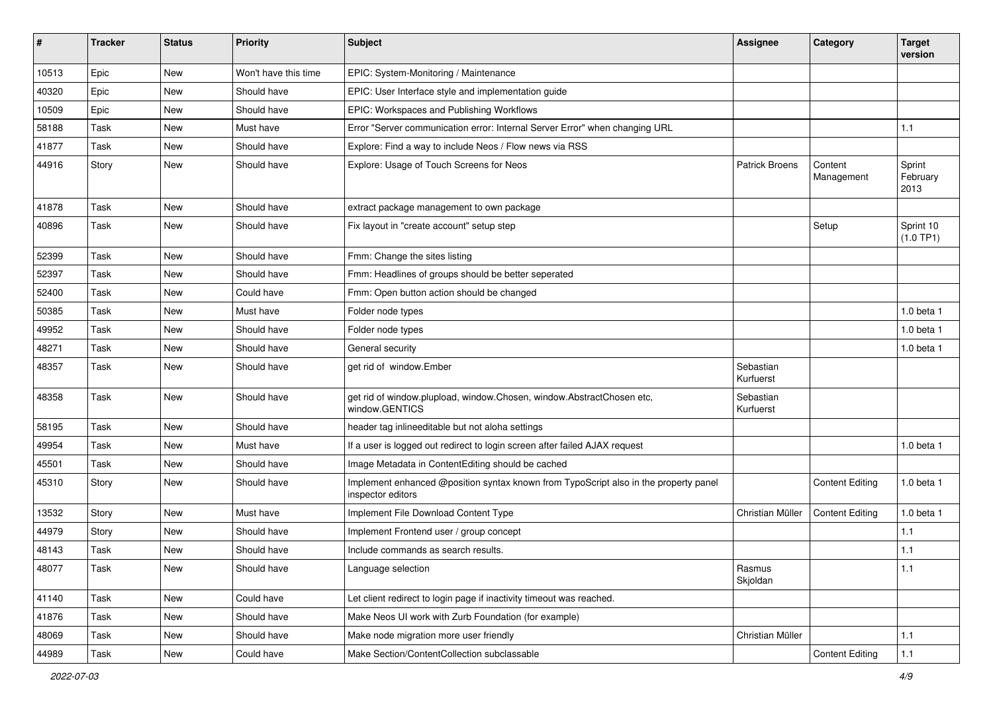| ∦     | <b>Tracker</b> | <b>Status</b> | <b>Priority</b>      | Subject                                                                                                   | <b>Assignee</b>        | Category               | <b>Target</b><br>version   |
|-------|----------------|---------------|----------------------|-----------------------------------------------------------------------------------------------------------|------------------------|------------------------|----------------------------|
| 10513 | Epic           | <b>New</b>    | Won't have this time | EPIC: System-Monitoring / Maintenance                                                                     |                        |                        |                            |
| 40320 | Epic           | New           | Should have          | EPIC: User Interface style and implementation guide                                                       |                        |                        |                            |
| 10509 | Epic           | New           | Should have          | EPIC: Workspaces and Publishing Workflows                                                                 |                        |                        |                            |
| 58188 | Task           | <b>New</b>    | Must have            | Error "Server communication error: Internal Server Error" when changing URL                               |                        |                        | 1.1                        |
| 41877 | Task           | New           | Should have          | Explore: Find a way to include Neos / Flow news via RSS                                                   |                        |                        |                            |
| 44916 | Story          | <b>New</b>    | Should have          | Explore: Usage of Touch Screens for Neos                                                                  | <b>Patrick Broens</b>  | Content<br>Management  | Sprint<br>February<br>2013 |
| 41878 | Task           | <b>New</b>    | Should have          | extract package management to own package                                                                 |                        |                        |                            |
| 40896 | Task           | New           | Should have          | Fix layout in "create account" setup step                                                                 |                        | Setup                  | Sprint 10<br>(1.0 TP1)     |
| 52399 | Task           | <b>New</b>    | Should have          | Fmm: Change the sites listing                                                                             |                        |                        |                            |
| 52397 | Task           | <b>New</b>    | Should have          | Fmm: Headlines of groups should be better seperated                                                       |                        |                        |                            |
| 52400 | Task           | <b>New</b>    | Could have           | Fmm: Open button action should be changed                                                                 |                        |                        |                            |
| 50385 | Task           | New           | Must have            | Folder node types                                                                                         |                        |                        | $1.0$ beta $1$             |
| 49952 | Task           | <b>New</b>    | Should have          | Folder node types                                                                                         |                        |                        | $1.0$ beta $1$             |
| 48271 | Task           | <b>New</b>    | Should have          | General security                                                                                          |                        |                        | 1.0 beta 1                 |
| 48357 | Task           | New           | Should have          | get rid of window.Ember                                                                                   | Sebastian<br>Kurfuerst |                        |                            |
| 48358 | Task           | <b>New</b>    | Should have          | get rid of window.plupload, window.Chosen, window.AbstractChosen etc,<br>window.GENTICS                   | Sebastian<br>Kurfuerst |                        |                            |
| 58195 | Task           | <b>New</b>    | Should have          | header tag inlineeditable but not aloha settings                                                          |                        |                        |                            |
| 49954 | Task           | New           | Must have            | If a user is logged out redirect to login screen after failed AJAX request                                |                        |                        | 1.0 beta 1                 |
| 45501 | Task           | <b>New</b>    | Should have          | Image Metadata in ContentEditing should be cached                                                         |                        |                        |                            |
| 45310 | Story          | <b>New</b>    | Should have          | Implement enhanced @position syntax known from TypoScript also in the property panel<br>inspector editors |                        | <b>Content Editing</b> | 1.0 beta 1                 |
| 13532 | Story          | <b>New</b>    | Must have            | Implement File Download Content Type                                                                      | Christian Müller       | <b>Content Editing</b> | 1.0 beta 1                 |
| 44979 | Story          | New           | Should have          | Implement Frontend user / group concept                                                                   |                        |                        | 1.1                        |
| 48143 | Task           | New           | Should have          | Include commands as search results.                                                                       |                        |                        | 1.1                        |
| 48077 | Task           | New           | Should have          | Language selection                                                                                        | Rasmus<br>Skjoldan     |                        | 1.1                        |
| 41140 | Task           | New           | Could have           | Let client redirect to login page if inactivity timeout was reached.                                      |                        |                        |                            |
| 41876 | Task           | <b>New</b>    | Should have          | Make Neos UI work with Zurb Foundation (for example)                                                      |                        |                        |                            |
| 48069 | Task           | New           | Should have          | Make node migration more user friendly                                                                    | Christian Müller       |                        | 1.1                        |
| 44989 | Task           | New           | Could have           | Make Section/ContentCollection subclassable                                                               |                        | <b>Content Editing</b> | $1.1$                      |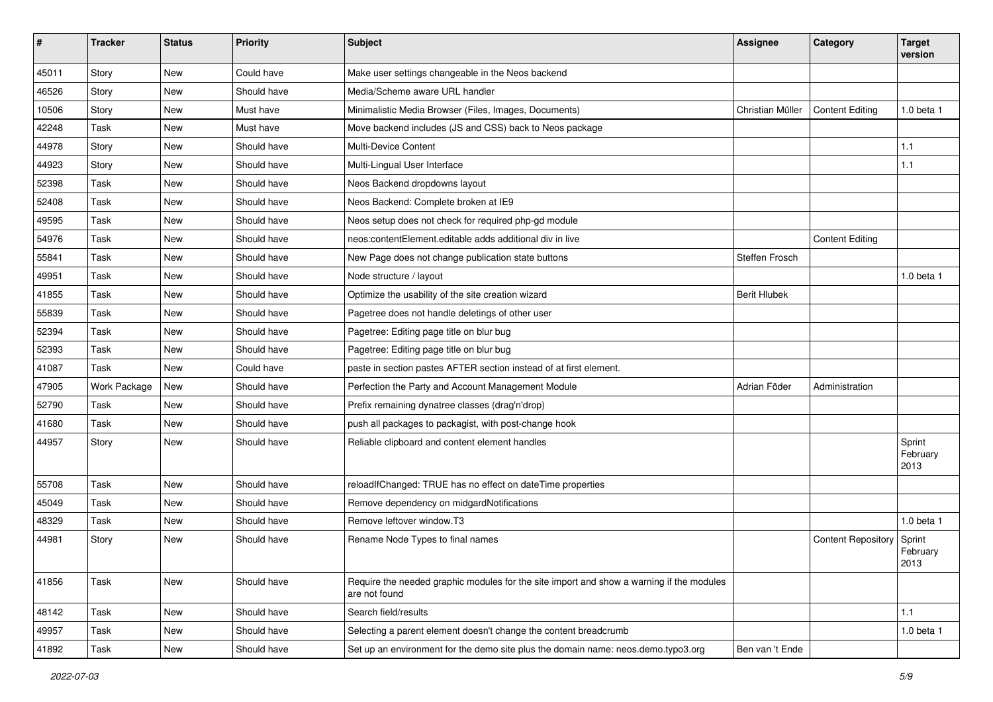| #     | <b>Tracker</b> | <b>Status</b> | <b>Priority</b> | <b>Subject</b>                                                                                            | <b>Assignee</b>     | Category                  | <b>Target</b><br>version   |
|-------|----------------|---------------|-----------------|-----------------------------------------------------------------------------------------------------------|---------------------|---------------------------|----------------------------|
| 45011 | Story          | <b>New</b>    | Could have      | Make user settings changeable in the Neos backend                                                         |                     |                           |                            |
| 46526 | Story          | New           | Should have     | Media/Scheme aware URL handler                                                                            |                     |                           |                            |
| 10506 | Story          | New           | Must have       | Minimalistic Media Browser (Files, Images, Documents)                                                     | Christian Müller    | <b>Content Editing</b>    | $1.0$ beta $1$             |
| 42248 | Task           | New           | Must have       | Move backend includes (JS and CSS) back to Neos package                                                   |                     |                           |                            |
| 44978 | Story          | <b>New</b>    | Should have     | Multi-Device Content                                                                                      |                     |                           | 1.1                        |
| 44923 | Story          | <b>New</b>    | Should have     | Multi-Lingual User Interface                                                                              |                     |                           | 1.1                        |
| 52398 | Task           | New           | Should have     | Neos Backend dropdowns layout                                                                             |                     |                           |                            |
| 52408 | Task           | New           | Should have     | Neos Backend: Complete broken at IE9                                                                      |                     |                           |                            |
| 49595 | Task           | <b>New</b>    | Should have     | Neos setup does not check for required php-gd module                                                      |                     |                           |                            |
| 54976 | Task           | New           | Should have     | neos:contentElement.editable adds additional div in live                                                  |                     | <b>Content Editing</b>    |                            |
| 55841 | Task           | <b>New</b>    | Should have     | New Page does not change publication state buttons                                                        | Steffen Frosch      |                           |                            |
| 49951 | Task           | New           | Should have     | Node structure / layout                                                                                   |                     |                           | 1.0 beta 1                 |
| 41855 | Task           | New           | Should have     | Optimize the usability of the site creation wizard                                                        | <b>Berit Hlubek</b> |                           |                            |
| 55839 | Task           | <b>New</b>    | Should have     | Pagetree does not handle deletings of other user                                                          |                     |                           |                            |
| 52394 | Task           | <b>New</b>    | Should have     | Pagetree: Editing page title on blur bug                                                                  |                     |                           |                            |
| 52393 | Task           | <b>New</b>    | Should have     | Pagetree: Editing page title on blur bug                                                                  |                     |                           |                            |
| 41087 | Task           | New           | Could have      | paste in section pastes AFTER section instead of at first element.                                        |                     |                           |                            |
| 47905 | Work Package   | <b>New</b>    | Should have     | Perfection the Party and Account Management Module                                                        | Adrian Föder        | Administration            |                            |
| 52790 | Task           | <b>New</b>    | Should have     | Prefix remaining dynatree classes (drag'n'drop)                                                           |                     |                           |                            |
| 41680 | Task           | New           | Should have     | push all packages to packagist, with post-change hook                                                     |                     |                           |                            |
| 44957 | Story          | New           | Should have     | Reliable clipboard and content element handles                                                            |                     |                           | Sprint<br>February<br>2013 |
| 55708 | Task           | <b>New</b>    | Should have     | reloadIfChanged: TRUE has no effect on dateTime properties                                                |                     |                           |                            |
| 45049 | Task           | New           | Should have     | Remove dependency on midgardNotifications                                                                 |                     |                           |                            |
| 48329 | Task           | New           | Should have     | Remove leftover window.T3                                                                                 |                     |                           | $1.0$ beta $1$             |
| 44981 | Story          | New           | Should have     | Rename Node Types to final names                                                                          |                     | <b>Content Repository</b> | Sprint<br>February<br>2013 |
| 41856 | Task           | New           | Should have     | Require the needed graphic modules for the site import and show a warning if the modules<br>are not found |                     |                           |                            |
| 48142 | Task           | New           | Should have     | Search field/results                                                                                      |                     |                           | $1.1$                      |
| 49957 | Task           | <b>New</b>    | Should have     | Selecting a parent element doesn't change the content breadcrumb                                          |                     |                           | 1.0 beta 1                 |
| 41892 | Task           | New           | Should have     | Set up an environment for the demo site plus the domain name: neos.demo.typo3.org                         | Ben van 't Ende     |                           |                            |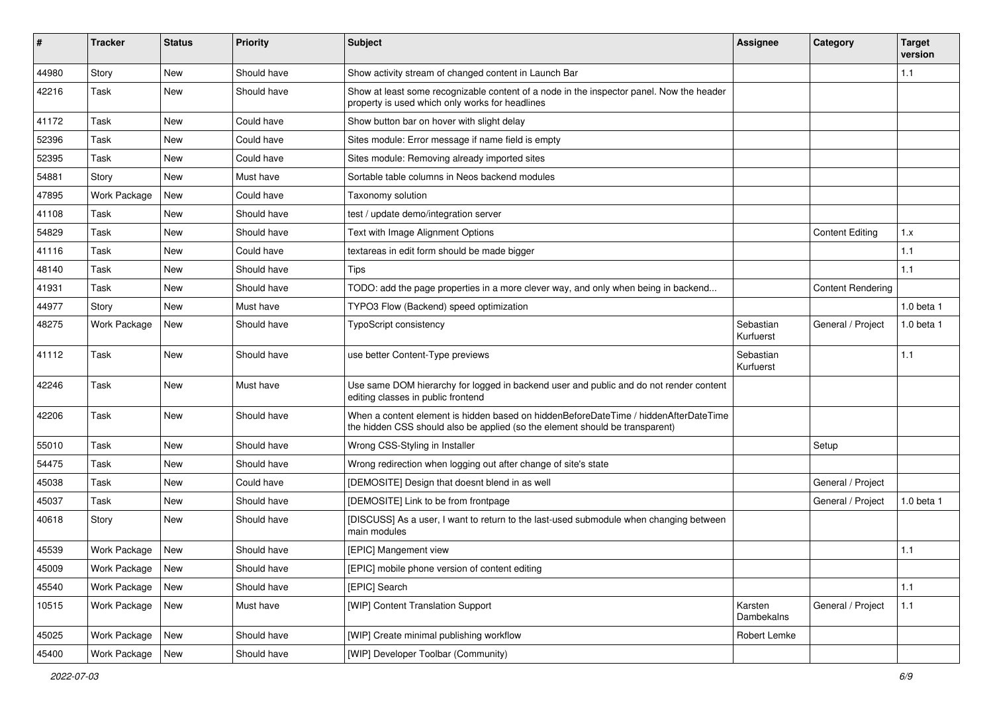| #     | <b>Tracker</b>      | <b>Status</b> | <b>Priority</b> | Subject                                                                                                                                                              | <b>Assignee</b>        | Category               | <b>Target</b><br>version |
|-------|---------------------|---------------|-----------------|----------------------------------------------------------------------------------------------------------------------------------------------------------------------|------------------------|------------------------|--------------------------|
| 44980 | Story               | <b>New</b>    | Should have     | Show activity stream of changed content in Launch Bar                                                                                                                |                        |                        | 1.1                      |
| 42216 | Task                | New           | Should have     | Show at least some recognizable content of a node in the inspector panel. Now the header<br>property is used which only works for headlines                          |                        |                        |                          |
| 41172 | Task                | <b>New</b>    | Could have      | Show button bar on hover with slight delay                                                                                                                           |                        |                        |                          |
| 52396 | Task                | New           | Could have      | Sites module: Error message if name field is empty                                                                                                                   |                        |                        |                          |
| 52395 | Task                | <b>New</b>    | Could have      | Sites module: Removing already imported sites                                                                                                                        |                        |                        |                          |
| 54881 | Story               | New           | Must have       | Sortable table columns in Neos backend modules                                                                                                                       |                        |                        |                          |
| 47895 | <b>Work Package</b> | <b>New</b>    | Could have      | Taxonomy solution                                                                                                                                                    |                        |                        |                          |
| 41108 | Task                | New           | Should have     | test / update demo/integration server                                                                                                                                |                        |                        |                          |
| 54829 | Task                | <b>New</b>    | Should have     | Text with Image Alignment Options                                                                                                                                    |                        | <b>Content Editing</b> | 1.x                      |
| 41116 | Task                | <b>New</b>    | Could have      | textareas in edit form should be made bigger                                                                                                                         |                        |                        | 1.1                      |
| 48140 | Task                | New           | Should have     | Tips                                                                                                                                                                 |                        |                        | 1.1                      |
| 41931 | Task                | <b>New</b>    | Should have     | TODO: add the page properties in a more clever way, and only when being in backend                                                                                   |                        | Content Rendering      |                          |
| 44977 | Story               | <b>New</b>    | Must have       | TYPO3 Flow (Backend) speed optimization                                                                                                                              |                        |                        | 1.0 beta 1               |
| 48275 | Work Package        | New           | Should have     | <b>TypoScript consistency</b>                                                                                                                                        | Sebastian<br>Kurfuerst | General / Project      | 1.0 beta 1               |
| 41112 | Task                | <b>New</b>    | Should have     | use better Content-Type previews                                                                                                                                     | Sebastian<br>Kurfuerst |                        | 1.1                      |
| 42246 | Task                | <b>New</b>    | Must have       | Use same DOM hierarchy for logged in backend user and public and do not render content<br>editing classes in public frontend                                         |                        |                        |                          |
| 42206 | Task                | <b>New</b>    | Should have     | When a content element is hidden based on hiddenBeforeDateTime / hiddenAfterDateTime<br>the hidden CSS should also be applied (so the element should be transparent) |                        |                        |                          |
| 55010 | Task                | <b>New</b>    | Should have     | Wrong CSS-Styling in Installer                                                                                                                                       |                        | Setup                  |                          |
| 54475 | Task                | <b>New</b>    | Should have     | Wrong redirection when logging out after change of site's state                                                                                                      |                        |                        |                          |
| 45038 | Task                | <b>New</b>    | Could have      | [DEMOSITE] Design that doesnt blend in as well                                                                                                                       |                        | General / Project      |                          |
| 45037 | Task                | <b>New</b>    | Should have     | [DEMOSITE] Link to be from frontpage                                                                                                                                 |                        | General / Project      | 1.0 beta 1               |
| 40618 | Story               | New           | Should have     | [DISCUSS] As a user, I want to return to the last-used submodule when changing between<br>main modules                                                               |                        |                        |                          |
| 45539 | Work Package        | <b>New</b>    | Should have     | [EPIC] Mangement view                                                                                                                                                |                        |                        | 1.1                      |
| 45009 | <b>Work Package</b> | New           | Should have     | [EPIC] mobile phone version of content editing                                                                                                                       |                        |                        |                          |
| 45540 | Work Package        | New           | Should have     | [EPIC] Search                                                                                                                                                        |                        |                        | 1.1                      |
| 10515 | Work Package        | New           | Must have       | [WIP] Content Translation Support                                                                                                                                    | Karsten<br>Dambekalns  | General / Project      | $1.1$                    |
| 45025 | Work Package        | New           | Should have     | [WIP] Create minimal publishing workflow                                                                                                                             | Robert Lemke           |                        |                          |
| 45400 | Work Package        | New           | Should have     | [WIP] Developer Toolbar (Community)                                                                                                                                  |                        |                        |                          |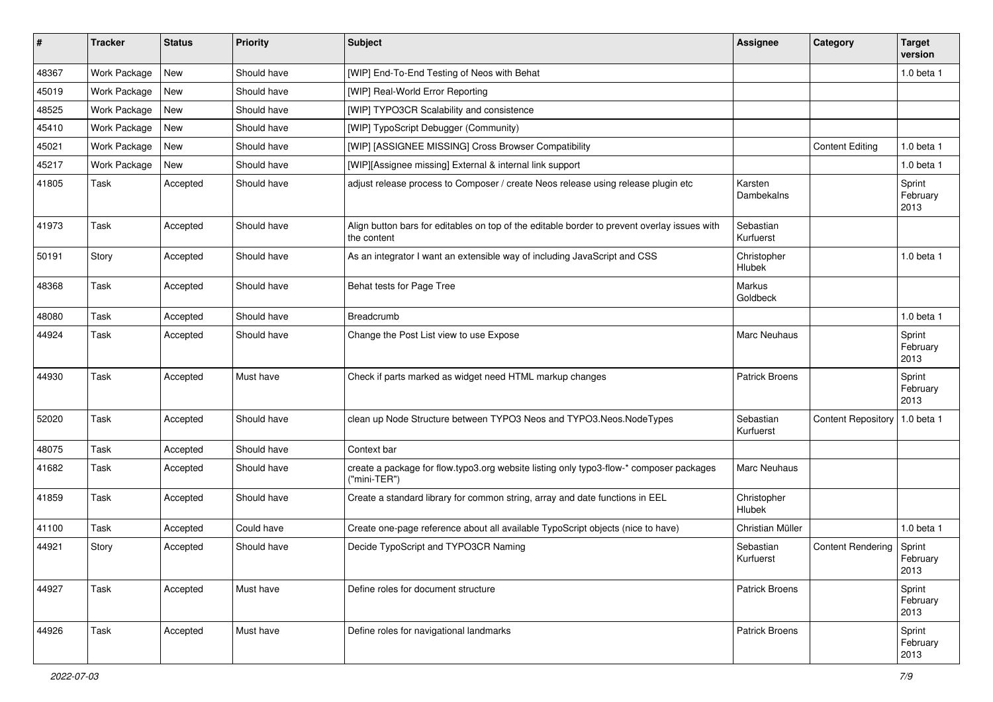| #     | <b>Tracker</b> | <b>Status</b> | <b>Priority</b> | Subject                                                                                                     | Assignee               | Category                  | <b>Target</b><br>version   |
|-------|----------------|---------------|-----------------|-------------------------------------------------------------------------------------------------------------|------------------------|---------------------------|----------------------------|
| 48367 | Work Package   | New           | Should have     | [WIP] End-To-End Testing of Neos with Behat                                                                 |                        |                           | 1.0 beta 1                 |
| 45019 | Work Package   | New           | Should have     | [WIP] Real-World Error Reporting                                                                            |                        |                           |                            |
| 48525 | Work Package   | New           | Should have     | [WIP] TYPO3CR Scalability and consistence                                                                   |                        |                           |                            |
| 45410 | Work Package   | New           | Should have     | [WIP] TypoScript Debugger (Community)                                                                       |                        |                           |                            |
| 45021 | Work Package   | New           | Should have     | [WIP] [ASSIGNEE MISSING] Cross Browser Compatibility                                                        |                        | <b>Content Editing</b>    | 1.0 beta 1                 |
| 45217 | Work Package   | New           | Should have     | [WIP][Assignee missing] External & internal link support                                                    |                        |                           | 1.0 beta 1                 |
| 41805 | Task           | Accepted      | Should have     | adjust release process to Composer / create Neos release using release plugin etc                           | Karsten<br>Dambekalns  |                           | Sprint<br>February<br>2013 |
| 41973 | Task           | Accepted      | Should have     | Align button bars for editables on top of the editable border to prevent overlay issues with<br>the content | Sebastian<br>Kurfuerst |                           |                            |
| 50191 | Story          | Accepted      | Should have     | As an integrator I want an extensible way of including JavaScript and CSS                                   | Christopher<br>Hlubek  |                           | 1.0 beta 1                 |
| 48368 | Task           | Accepted      | Should have     | Behat tests for Page Tree                                                                                   | Markus<br>Goldbeck     |                           |                            |
| 48080 | Task           | Accepted      | Should have     | Breadcrumb                                                                                                  |                        |                           | 1.0 beta 1                 |
| 44924 | Task           | Accepted      | Should have     | Change the Post List view to use Expose                                                                     | Marc Neuhaus           |                           | Sprint<br>February<br>2013 |
| 44930 | Task           | Accepted      | Must have       | Check if parts marked as widget need HTML markup changes                                                    | <b>Patrick Broens</b>  |                           | Sprint<br>February<br>2013 |
| 52020 | Task           | Accepted      | Should have     | clean up Node Structure between TYPO3 Neos and TYPO3.Neos.NodeTypes                                         | Sebastian<br>Kurfuerst | <b>Content Repository</b> | $1.0$ beta 1               |
| 48075 | Task           | Accepted      | Should have     | Context bar                                                                                                 |                        |                           |                            |
| 41682 | Task           | Accepted      | Should have     | create a package for flow typo3.org website listing only typo3-flow-* composer packages<br>("mini-TER")     | <b>Marc Neuhaus</b>    |                           |                            |
| 41859 | Task           | Accepted      | Should have     | Create a standard library for common string, array and date functions in EEL                                | Christopher<br>Hlubek  |                           |                            |
| 41100 | Task           | Accepted      | Could have      | Create one-page reference about all available TypoScript objects (nice to have)                             | Christian Müller       |                           | 1.0 beta 1                 |
| 44921 | Story          | Accepted      | Should have     | Decide TypoScript and TYPO3CR Naming                                                                        | Sebastian<br>Kurfuerst | <b>Content Rendering</b>  | Sprint<br>February<br>2013 |
| 44927 | Task           | Accepted      | Must have       | Define roles for document structure                                                                         | <b>Patrick Broens</b>  |                           | Sprint<br>February<br>2013 |
| 44926 | Task           | Accepted      | Must have       | Define roles for navigational landmarks                                                                     | <b>Patrick Broens</b>  |                           | Sprint<br>February<br>2013 |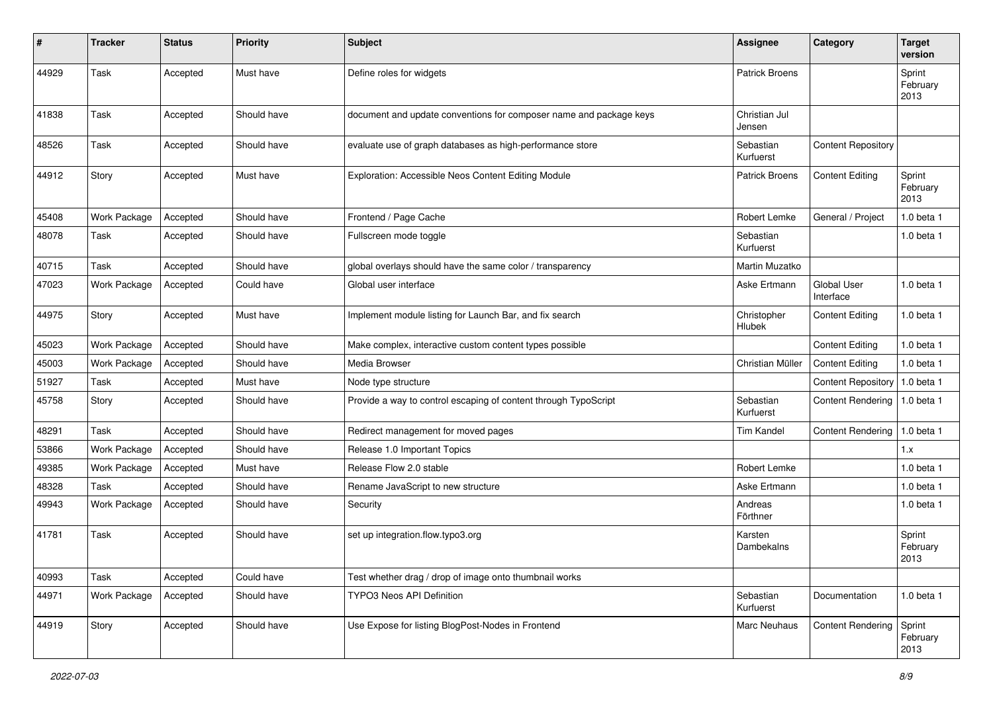| $\pmb{\#}$ | <b>Tracker</b> | <b>Status</b> | <b>Priority</b> | <b>Subject</b>                                                     | <b>Assignee</b>         | Category                        | <b>Target</b><br>version   |
|------------|----------------|---------------|-----------------|--------------------------------------------------------------------|-------------------------|---------------------------------|----------------------------|
| 44929      | Task           | Accepted      | Must have       | Define roles for widgets                                           | Patrick Broens          |                                 | Sprint<br>February<br>2013 |
| 41838      | Task           | Accepted      | Should have     | document and update conventions for composer name and package keys | Christian Jul<br>Jensen |                                 |                            |
| 48526      | Task           | Accepted      | Should have     | evaluate use of graph databases as high-performance store          | Sebastian<br>Kurfuerst  | <b>Content Repository</b>       |                            |
| 44912      | Story          | Accepted      | Must have       | Exploration: Accessible Neos Content Editing Module                | <b>Patrick Broens</b>   | <b>Content Editing</b>          | Sprint<br>February<br>2013 |
| 45408      | Work Package   | Accepted      | Should have     | Frontend / Page Cache                                              | Robert Lemke            | General / Project               | 1.0 beta 1                 |
| 48078      | Task           | Accepted      | Should have     | Fullscreen mode toggle                                             | Sebastian<br>Kurfuerst  |                                 | 1.0 beta 1                 |
| 40715      | Task           | Accepted      | Should have     | global overlays should have the same color / transparency          | Martin Muzatko          |                                 |                            |
| 47023      | Work Package   | Accepted      | Could have      | Global user interface                                              | Aske Ertmann            | <b>Global User</b><br>Interface | 1.0 beta 1                 |
| 44975      | Story          | Accepted      | Must have       | Implement module listing for Launch Bar, and fix search            | Christopher<br>Hlubek   | <b>Content Editing</b>          | 1.0 beta 1                 |
| 45023      | Work Package   | Accepted      | Should have     | Make complex, interactive custom content types possible            |                         | <b>Content Editing</b>          | 1.0 beta 1                 |
| 45003      | Work Package   | Accepted      | Should have     | Media Browser                                                      | Christian Müller        | <b>Content Editing</b>          | 1.0 beta 1                 |
| 51927      | Task           | Accepted      | Must have       | Node type structure                                                |                         | <b>Content Repository</b>       | 1.0 beta 1                 |
| 45758      | Story          | Accepted      | Should have     | Provide a way to control escaping of content through TypoScript    | Sebastian<br>Kurfuerst  | <b>Content Rendering</b>        | 1.0 beta 1                 |
| 48291      | Task           | Accepted      | Should have     | Redirect management for moved pages                                | Tim Kandel              | <b>Content Rendering</b>        | 1.0 beta 1                 |
| 53866      | Work Package   | Accepted      | Should have     | Release 1.0 Important Topics                                       |                         |                                 | 1.x                        |
| 49385      | Work Package   | Accepted      | Must have       | Release Flow 2.0 stable                                            | Robert Lemke            |                                 | 1.0 beta 1                 |
| 48328      | Task           | Accepted      | Should have     | Rename JavaScript to new structure                                 | Aske Ertmann            |                                 | 1.0 beta 1                 |
| 49943      | Work Package   | Accepted      | Should have     | Security                                                           | Andreas<br>Förthner     |                                 | 1.0 beta 1                 |
| 41781      | Task           | Accepted      | Should have     | set up integration.flow.typo3.org                                  | Karsten<br>Dambekalns   |                                 | Sprint<br>February<br>2013 |
| 40993      | Task           | Accepted      | Could have      | Test whether drag / drop of image onto thumbnail works             |                         |                                 |                            |
| 44971      | Work Package   | Accepted      | Should have     | TYPO3 Neos API Definition                                          | Sebastian<br>Kurfuerst  | Documentation                   | $1.0$ beta $1$             |
| 44919      | Story          | Accepted      | Should have     | Use Expose for listing BlogPost-Nodes in Frontend                  | Marc Neuhaus            | <b>Content Rendering</b>        | Sprint<br>February<br>2013 |